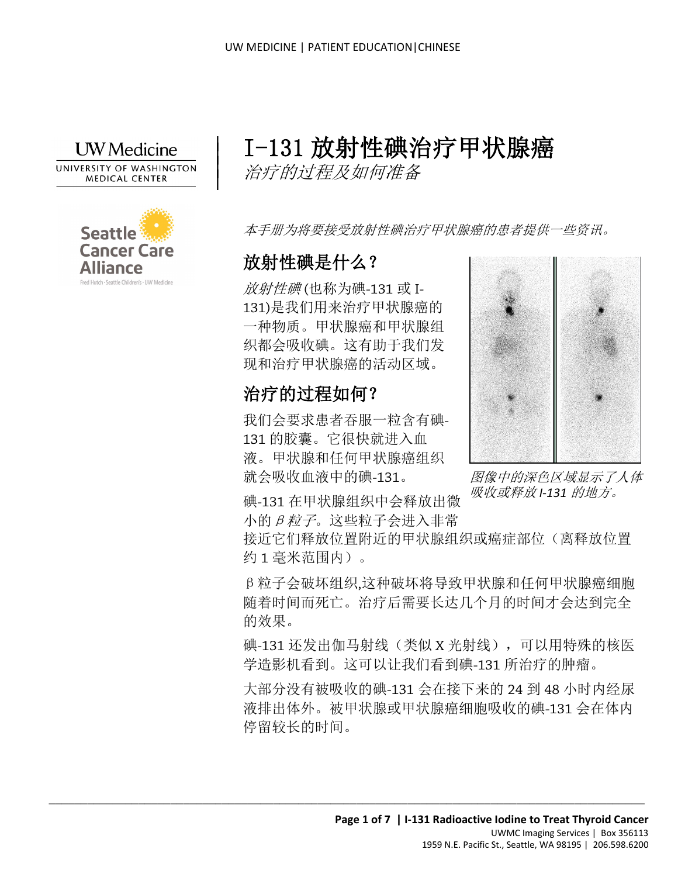

|  $\vert$  $\vert$  $\vert$ 



# I-131 放射性碘治疗甲状腺癌

治疗的过程及如何准备

本手册为将要接受放射性碘治疗甲状腺癌的患者提供一些资讯。

# 放射性碘是什么?

放射性碘 (也称为碘-131 或 I-131)是我们用来治疗甲状腺癌的 一种物质。甲状腺癌和甲状腺组 织都会吸收碘。这有助于我们发 现和治疗甲状腺癌的活动区域。

# 治疗的过程如何?

我们会要求患者吞服一粒含有碘-131 的胶囊。它很快就进入血 液。甲状腺和任何甲状腺癌组织 就会吸收血液中的碘-131。



图像中的深色区域显示了人体 吸收或释放 *I-131* 的地方。

碘-131 在甲状腺组织中会释放出微 小的β粒子。这些粒子会进入非常

 $\_$  ,  $\_$  ,  $\_$  ,  $\_$  ,  $\_$  ,  $\_$  ,  $\_$  ,  $\_$  ,  $\_$  ,  $\_$  ,  $\_$  ,  $\_$  ,  $\_$  ,  $\_$  ,  $\_$  ,  $\_$  ,  $\_$  ,  $\_$  ,  $\_$  ,  $\_$  ,  $\_$  ,  $\_$  ,  $\_$  ,  $\_$  ,  $\_$  ,  $\_$  ,  $\_$  ,  $\_$  ,  $\_$  ,  $\_$  ,  $\_$  ,  $\_$  ,  $\_$  ,  $\_$  ,  $\_$  ,  $\_$  ,  $\_$  ,

接近它们释放位置附近的甲状腺组织或癌症部位(离释放位置 约 1 毫米范围内)。

β粒子会破坏组织,这种破坏将导致甲状腺和任何甲状腺癌细胞 随着时间而死亡。治疗后需要长达几个月的时间才会达到完全 的效果。

碘-131 还发出伽马射线(类似 X 光射线),可以用特殊的核医 学造影机看到。这可以让我们看到碘-131 所治疗的肿瘤。

大部分没有被吸收的碘-131 会在接下来的 24 到 48 小时内经尿 液排出体外。被甲状腺或甲状腺癌细胞吸收的碘-131 会在体内 停留较长的时间。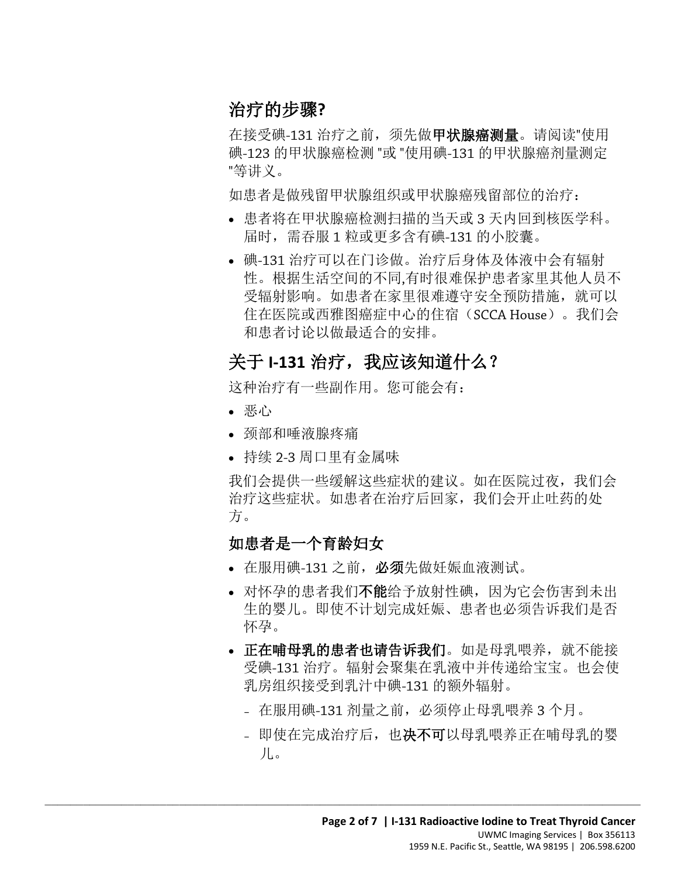# 治疗的步骤**?**

在接受碘-131 治疗之前, 须先做甲状腺癌测量。请阅读"使用 碘-123 的甲状腺癌检测 "或 "使用碘-131 的甲状腺癌剂量测定 "等讲义。

如患者是做残留甲状腺组织或甲状腺癌残留部位的治疗:

- 患者将在甲状腺癌检测扫描的当天或 3 天内回到核医学科。 届时,需吞服 1 粒或更多含有碘-131 的小胶囊。
- 在社区所以四征图海征午心的任相(SCCA House)。我们:<br>和患者讨论以做最适合的安排。<br>**关于 1-131 治疗, 我应该知道什么?**<br>这种治疗有一些副作用。您可能会有:<br>• 恶心 • 碘-131 治疗可以在门诊做。治疗后身体及体液中会有辐射 性。根据生活空间的不同,有时很难保护患者家里其他人员不 受辐射影响。如患者在家里很难遵守安全预防措施,就可以 住在医院或西雅图癌症中心的住宿(SCCA House)。我们会 和患者讨论以做最适合的安排。

# 关于 **I-131** 治疗,我应该知道什么?

这种治疗有一些副作用。您可能会有:

- 恶心
- 颈部和唾液腺疼痛
- 持续 2-3 周口里有金属味

我们会提供一些缓解这些症状的建议。如在医院过夜,我们会 治疗这些症状。如患者在治疗后回家,我们会开止吐药的处 方。

#### 如患者是一个育龄妇女

• 在服用碘-131 之前,必须先做妊娠血液测试。

- 对怀孕的患者我们不能给予放射性碘, 因为它会伤害到未出 生的婴儿。即使不计划完成妊娠、患者也必须告诉我们是否 怀孕。
- 正在哺母乳的患者也请告诉我们。如是母乳喂养, 就不能接 受碘-131 治疗。辐射会聚集在乳液中并传递给宝宝。也会使 乳房组织接受到乳汁中碘-131 的额外辐射。
	- 在服用碘-131 剂量之前,必须停止母乳喂养 3 个月。
	- 即使在完成治疗后, 也决不可以母乳喂养正在哺母乳的婴 儿。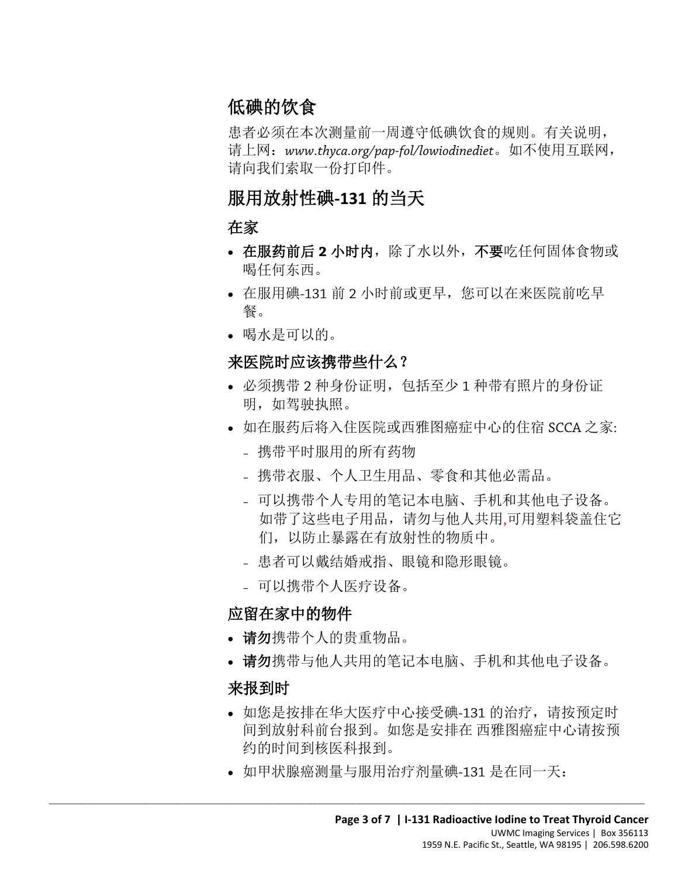# 低碘的饮食

患者必须在本次测量前一周遵守低碘饮食的规则。有关说明, 请上网:*www.thyca.org/pap-fol/lowiodinediet*。如不使用互联网, 请向我们索取一份打印件。

# 服用放射性碘**-131** 的当天

#### 在家

- 在服药前后 **2** 小时内,除了水以外,不要吃任何固体食物或 喝任何东西。
- 在服用碘-131 前 2 小时前或更早, 您可以在来医院前吃早 餐。
- 喝水是可以的。

#### 来医院时应该携带些什么?

- 必须携带 2 种身份证明,包括至少 1 种带有照片的身份证 明,如驾驶执照。
- 如在服药后将入住医院或西雅图癌症中心的住宿 SCCA 之家:
	- 携带平时服用的所有药物
	- 携带衣服、个人卫生用品、零食和其他必需品。
	- 可以携带个人专用的笔记本电脑、手机和其他电子设备。 如带了这些电子用品,请勿与他人共用,可用塑料袋盖住它 们,以防止暴露在有放射性的物质中。
	- 患者可以戴结婚戒指、眼镜和隐形眼镜。
	- 可以携带个人医疗设备。

# 应留在家中的物件

- 请勿携带个人的贵重物品。
- 请勿携带与他人共用的笔记本电脑、手机和其他电子设备。

#### 来报到时

- 如您是按排在华大医疗中心接受碘-131 的治疗,请按预定时 间到放射科前台报到。如您是安排在 西雅图癌症中心请按预 约的时间到核医科报到。
- 如甲状腺癌测量与服用治疗剂量碘-131 是在同一天: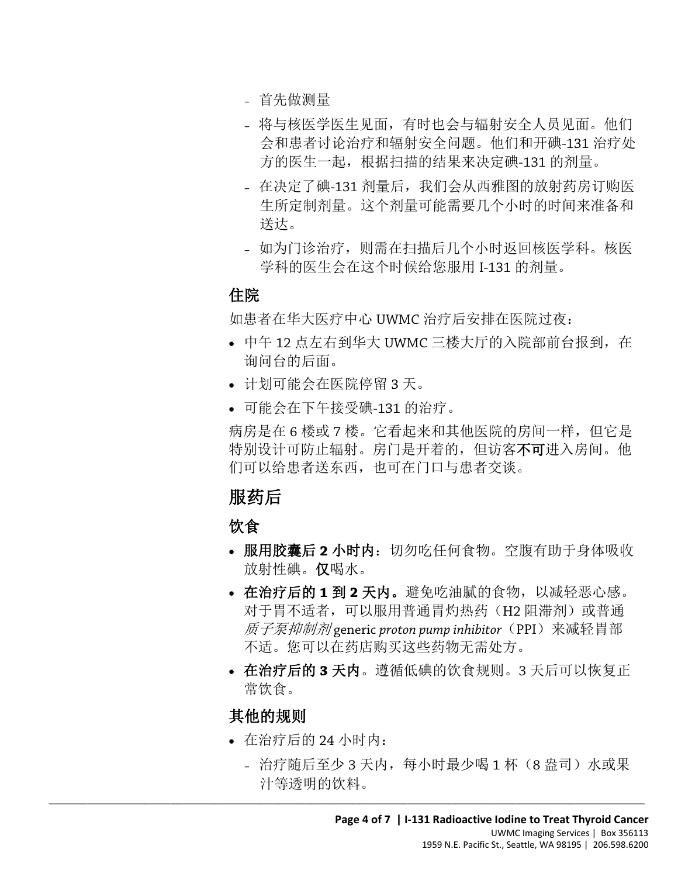- 首先做测量
- 将与核医学医生见面,有时也会与辐射安全人员见面。他们 会和患者讨论治疗和辐射安全问题。他们和开碘-131 治疗处 方的医生一起,根据扫描的结果来决定碘-131 的剂量。
- 在决定了碘-131 剂量后,我们会从西雅图的放射药房订购医 生所定制剂量。这个剂量可能需要几个小时的时间来准备和 送达。
- 如为门诊治疗,则需在扫描后几个小时返回核医学科。核医 学科的医生会在这个时候给您服用 I-131 的剂量。

#### 住院

如患者在华大医疗中心 UWMC 治疗后安排在医院过夜:

- 中午 12 点左右到华大 UWMC 三楼大厅的入院部前台报到,在 询问台的后面。
- 计划可能会在医院停留 3 天。
- 可能会在下午接受碘-131 的治疗。

病房是在 6 楼或 7 楼。它看起来和其他医院的房间一样,但它是 特别设计可防止辐射。房门是开着的, 但访客不可进入房间。他 们可以给患者送东西,也可在门口与患者交谈。

# 服药后

饮食

- 服用胶囊后 2 小时内: 切勿吃任何食物。空腹有助于身体吸收 放射性碘。仅喝水。
- 在治疗后的 **1** 到 **2** 天内。避免吃油腻的食物,以减轻恶心感。 对于胃不适者,可以服用普通胃灼热药(H2 阻滞剂)或普通 质子泵抑制剂 generic *proton pump inhibitor*(PPI)来减轻胃部 不适。您可以在药店购买这些药物无需处方。
- 在治疗后的 **3** 天内。遵循低碘的饮食规则。3 天后可以恢复正 常饮食。

#### 其他的规则

• 在治疗后的 24 小时内:

 $\_$  ,  $\_$  ,  $\_$  ,  $\_$  ,  $\_$  ,  $\_$  ,  $\_$  ,  $\_$  ,  $\_$  ,  $\_$  ,  $\_$  ,  $\_$  ,  $\_$  ,  $\_$  ,  $\_$  ,  $\_$  ,  $\_$  ,  $\_$  ,  $\_$  ,  $\_$  ,  $\_$  ,  $\_$  ,  $\_$  ,  $\_$  ,  $\_$  ,  $\_$  ,  $\_$  ,  $\_$  ,  $\_$  ,  $\_$  ,  $\_$  ,  $\_$  ,  $\_$  ,  $\_$  ,  $\_$  ,  $\_$  ,  $\_$  ,

– 治疗随后至少 3 天内,每小时最少喝 1 杯(8 盎司)水或果 汁等透明的饮料。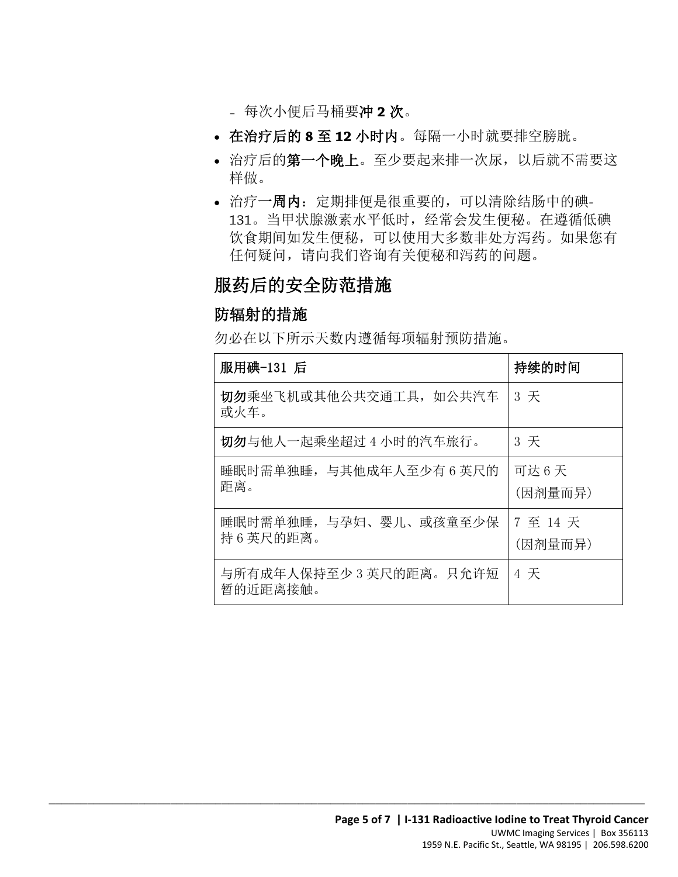- 每次小便后马桶要冲 **2** 次。
- 在治疗后的 **8** 至 **12** 小时内。每隔一小时就要排空膀胱。
- 治疗后的第一个晚上。至少要起来排一次尿,以后就不需要这 样做。
- 治疗一周内:定期排便是很重要的,可以清除结肠中的碘-131。当甲状腺激素水平低时,经常会发生便秘。在遵循低碘 饮食期间如发生便秘,可以使用大多数非处方泻药。如果您有 任何疑问,请向我们咨询有关便秘和泻药的问题。

# 服药后的安全防范措施

#### 防辐射的措施

勿必在以下所示天数内遵循每项辐射预防措施。

| 服用碘-131 后                           | 持续的时间            |
|-------------------------------------|------------------|
| 切勿乘坐飞机或其他公共交通工具, 如公共汽车<br>或火车。      | 3 天              |
| 切勿与他人一起乘坐超过 4 小时的汽车旅行。              | 3 天              |
| 睡眠时需单独睡, 与其他成年人至少有 6 英尺的<br>距离。     | 可达6天<br>(因剂量而异)  |
| 睡眠时需单独睡, 与孕妇、婴儿、或孩童至少保<br>持6英尺的距离。  | 7至14天<br>(因剂量而异) |
| 与所有成年人保持至少 3 英尺的距离。只允许短<br>暂的近距离接触。 | 4 天              |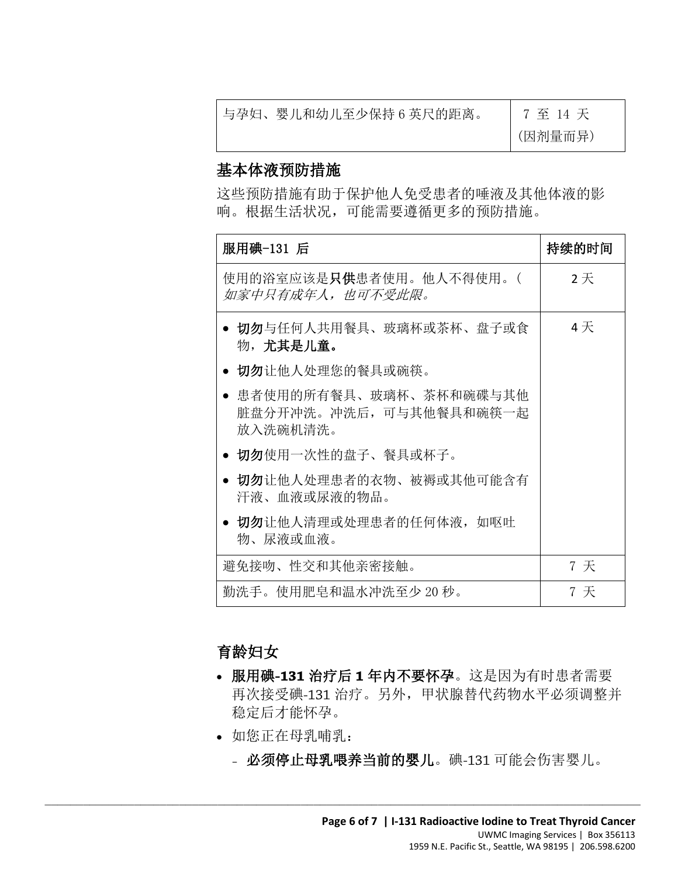| 与孕妇、婴儿和幼儿至少保持6英尺的距离。 |  |
|----------------------|--|
|                      |  |

7 至 14 天 (因剂量而异)

#### 基本体液预防措施

这些预防措施有助于保护他人免受患者的唾液及其他体液的影 响。根据生活状况,可能需要遵循更多的预防措施。

| 服用碘-131 后                                                       | 持续的时间 |
|-----------------------------------------------------------------|-------|
| 使用的浴室应该是 <b>只供</b> 患者使用。他人不得使用。(<br>如家中只有成年人,也可不受此限。            | 2天    |
| ● 切勿与任何人共用餐具、玻璃杯或茶杯、盘子或食<br>物,尤其是儿童。                            | 4天    |
| ● 切勿让他人处理您的餐具或碗筷。                                               |       |
| ● 患者使用的所有餐具、玻璃杯、茶杯和碗碟与其他<br>脏盘分开冲洗。冲洗后, 可与其他餐具和碗筷一起<br>放入洗碗机清洗。 |       |
| ● 切勿使用一次性的盘子、餐具或杯子。                                             |       |
| • 切勿让他人处理患者的衣物、被褥或其他可能含有<br>汗液、血液或尿液的物品。                        |       |
| • 切勿让他人清理或处理患者的任何体液, 如呕吐<br>物、尿液或血液。                            |       |
| 避免接吻、性交和其他亲密接触。                                                 | 7 天   |
| 勤洗手。使用肥皂和温水冲洗至少 20 秒。                                           | 7 天   |

#### 育龄妇女

- 服用碘**-131** 治疗后 **1** 年内不要怀孕。这是因为有时患者需要 再次接受碘-131 治疗。另外,甲状腺替代药物水平必须调整并 稳定后才能怀孕。
- 如您正在母乳哺乳:

 $\_$  ,  $\_$  ,  $\_$  ,  $\_$  ,  $\_$  ,  $\_$  ,  $\_$  ,  $\_$  ,  $\_$  ,  $\_$  ,  $\_$  ,  $\_$  ,  $\_$  ,  $\_$  ,  $\_$  ,  $\_$  ,  $\_$  ,  $\_$  ,  $\_$  ,  $\_$  ,  $\_$  ,  $\_$  ,  $\_$  ,  $\_$  ,  $\_$  ,  $\_$  ,  $\_$  ,  $\_$  ,  $\_$  ,  $\_$  ,  $\_$  ,  $\_$  ,  $\_$  ,  $\_$  ,  $\_$  ,  $\_$  ,  $\_$  ,

– 必须停止母乳喂养当前的婴儿。碘-131 可能会伤害婴儿。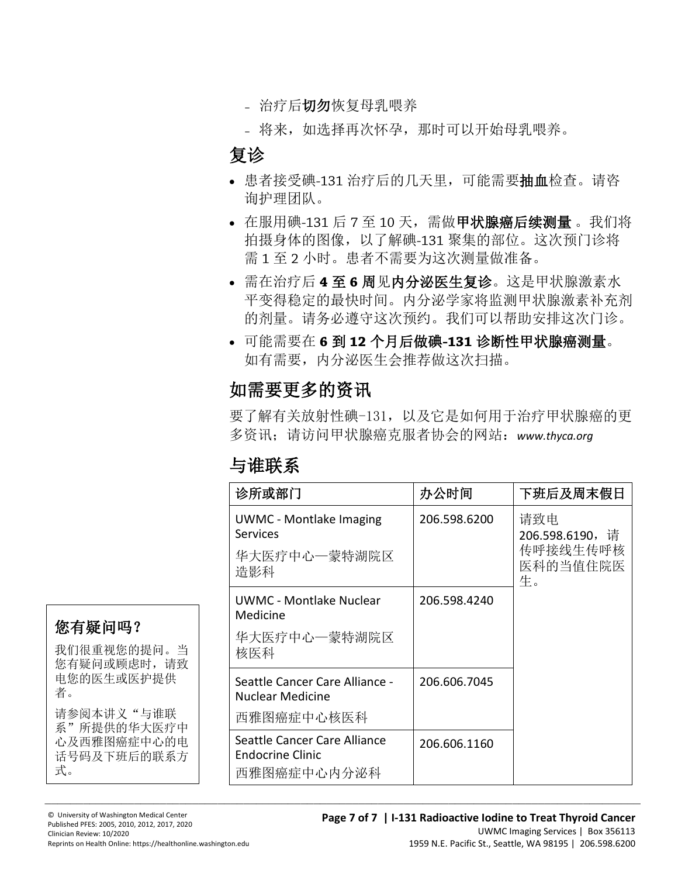- 治疗后切勿恢复母乳喂养
- 将来,如选择再次怀孕,那时可以开始母乳喂养。

# 复诊

- 患者接受碘-131 治疗后的几天里, 可能需要抽血检查。请咨 询护理团队。
- 在服用碘-131 后 7 至 10 天, 需做甲状腺癌后续测量。我们将 拍摄身体的图像,以了解碘-131 聚集的部位。这次预门诊将 需 1 至 2 小时。患者不需要为这次测量做准备。
- 需在治疗后 **4** 至 **6** 周见内分泌医生复诊。这是甲状腺激素水 平变得稳定的最快时间。内分泌学家将监测甲状腺激素补充剂 的剂量。请务必遵守这次预约。我们可以帮助安排这次门诊。
- 的剂量。请务必遵守这次预约。我们可以帮助安排这次门1<br>• 可能需要在 6 到 12 个月后做碘-131 诊断性甲状腺癌测量<br>如有需要,内分泌医生会推荐做这次扫描。<br>如需要更多的资讯<br>要了解有关放射性碘-131,以及它是如何用于治疗甲状腺癌的 • 可能需要在 **6** 到 **12** 个月后做碘**-131** 诊断性甲状腺癌测量。 如有需要,内分泌医生会推荐做这次扫描。

# 如需要更多的资讯

要了解有关放射性碘-131,以及它是如何用于治疗甲状腺癌的更 多资讯;请访问甲状腺癌克服者协会的网站:*www.thyca.org*

# 与谁联系

| 诊所或部门                                                             | 办公时间         | 下班后及周末假日                                            |
|-------------------------------------------------------------------|--------------|-----------------------------------------------------|
| <b>UWMC</b> - Montlake Imaging<br>Services<br>华大医疗中心一蒙特湖院区<br>造影科 | 206.598.6200 | 请致电<br>206.598.6190,请<br>传呼接线生传呼核<br>医科的当值住院医<br>生。 |
| UWMC - Montlake Nuclear<br>Medicine<br>华大医疗中心一蒙特湖院区<br>核医科        | 206.598.4240 |                                                     |
| Seattle Cancer Care Alliance -<br>Nuclear Medicine<br>西雅图癌症中心核医科  | 206.606.7045 |                                                     |
| Seattle Cancer Care Alliance<br>Endocrine Clinic<br>西雅图癌症中心内分泌科   | 206.606.1160 |                                                     |

 $\_$  ,  $\_$  ,  $\_$  ,  $\_$  ,  $\_$  ,  $\_$  ,  $\_$  ,  $\_$  ,  $\_$  ,  $\_$  ,  $\_$  ,  $\_$  ,  $\_$  ,  $\_$  ,  $\_$  ,  $\_$  ,  $\_$  ,  $\_$  ,  $\_$  ,  $\_$  ,  $\_$  ,  $\_$  ,  $\_$  ,  $\_$  ,  $\_$  ,  $\_$  ,  $\_$  ,  $\_$  ,  $\_$  ,  $\_$  ,  $\_$  ,  $\_$  ,  $\_$  ,  $\_$  ,  $\_$  ,  $\_$  ,  $\_$  ,

# 您有疑问吗?

我们很重视您的提问。当 您有疑问或顾虑时,请致 电您的医生或医护提供 者。 请参阅本讲义"与谁联 系"所提供的华大医疗中 心及西雅图癌症中心的电

话号码及下班后的联系方 式。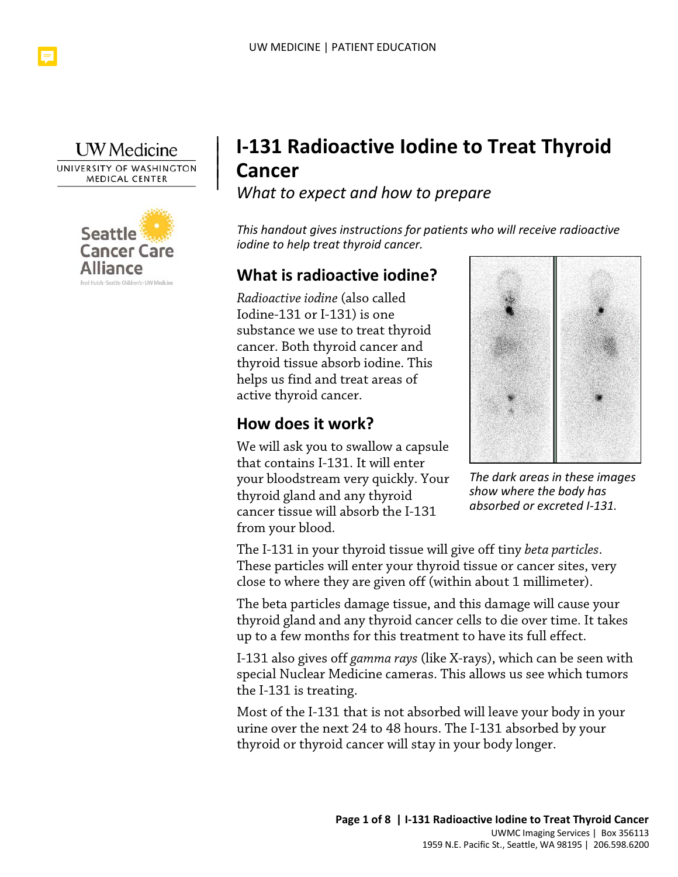

|  $\vert$  $\vert$  $\vert$ 



# **I-131 Radioactive Iodine to Treat Thyroid Cancer**

*What to expect and how to prepare*

*This handout gives instructions for patients who will receive radioactive iodine to help treat thyroid cancer.* 

# **What is radioactive iodine?**

Iodine-131 or I-131) is one<br>substance we use to treat thyroid<br>cancer. Both thyroid cancer and<br>thyroid tissue absorb iodine. This<br>helps us find and treat areas of<br>active thyroid cancer.<br>**How does it work?** *Radioactive iodine* (also called Iodine-131 or I-131) is one substance we use to treat thyroid cancer. Both thyroid cancer and thyroid tissue absorb iodine. This helps us find and treat areas of active thyroid cancer.

#### **How does it work?**

We will ask you to swallow a capsule that contains I-131. It will enter your bloodstream very quickly. Your thyroid gland and any thyroid cancer tissue will absorb the I-131 from your blood.

 $\_$  , and the set of the set of the set of the set of the set of the set of the set of the set of the set of the set of the set of the set of the set of the set of the set of the set of the set of the set of the set of th



*The dark areas in these images show where the body has absorbed or excreted I-131.*

The I-131 in your thyroid tissue will give off tiny *beta particles*. These particles will enter your thyroid tissue or cancer sites, very close to where they are given off (within about 1 millimeter).

The beta particles damage tissue, and this damage will cause your thyroid gland and any thyroid cancer cells to die over time. It takes up to a few months for this treatment to have its full effect.

I-131 also gives off *gamma rays* (like X-rays), which can be seen with special Nuclear Medicine cameras. This allows us see which tumors the I-131 is treating.

Most of the I-131 that is not absorbed will leave your body in your urine over the next 24 to 48 hours. The I-131 absorbed by your thyroid or thyroid cancer will stay in your body longer.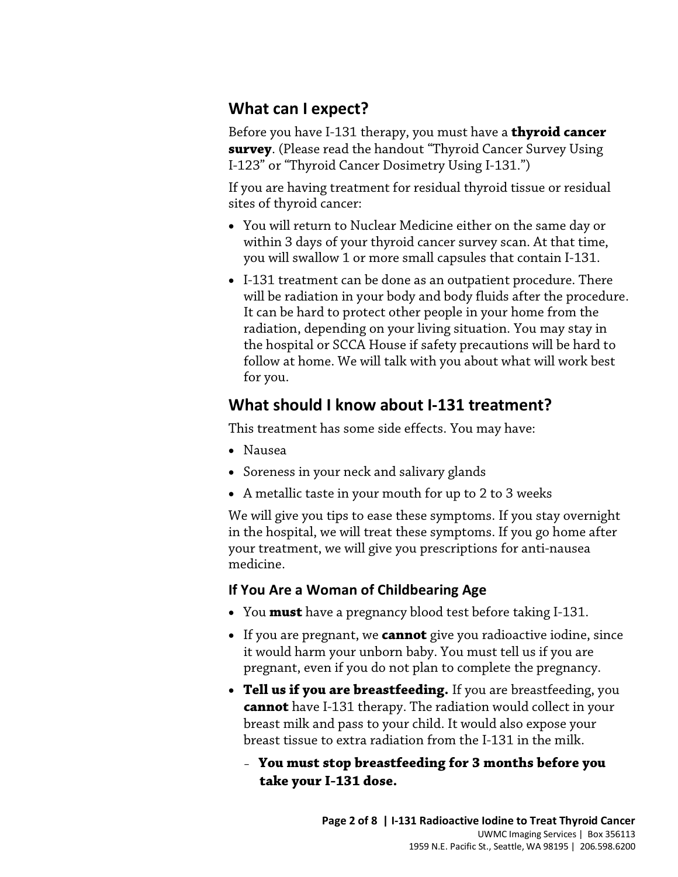# **What can I expect?**

Before you have I-131 therapy, you must have a **thyroid cancer survey**. (Please read the handout "Thyroid Cancer Survey Using I-123" or "Thyroid Cancer Dosimetry Using I-131.")

If you are having treatment for residual thyroid tissue or residual sites of thyroid cancer:

- You will return to Nuclear Medicine either on the same day or within 3 days of your thyroid cancer survey scan. At that time, you will swallow 1 or more small capsules that contain I-131.
- retainted to proceed offer people in your lione from the radiation, depending on your living situation. You may stay in the hospital or SCCA House if safety precautions will be hard t follow at home. We will talk with you • I-131 treatment can be done as an outpatient procedure. There will be radiation in your body and body fluids after the procedure. It can be hard to protect other people in your home from the radiation, depending on your living situation. You may stay in the hospital or SCCA House if safety precautions will be hard to follow at home. We will talk with you about what will work best for you.

# **What should I know about I-131 treatment?**

This treatment has some side effects. You may have:

- Nausea
- Soreness in your neck and salivary glands
- A metallic taste in your mouth for up to 2 to 3 weeks

We will give you tips to ease these symptoms. If you stay overnight in the hospital, we will treat these symptoms. If you go home after your treatment, we will give you prescriptions for anti-nausea medicine.

#### **If You Are a Woman of Childbearing Age**

- You **must** have a pregnancy blood test before taking I-131.
- If you are pregnant, we **cannot** give you radioactive iodine, since it would harm your unborn baby. You must tell us if you are pregnant, even if you do not plan to complete the pregnancy.
- **Tell us if you are breastfeeding.** If you are breastfeeding, you **cannot** have I-131 therapy. The radiation would collect in your breast milk and pass to your child. It would also expose your breast tissue to extra radiation from the I-131 in the milk.
	- **You must stop breastfeeding for 3 months before you take your I-131 dose.**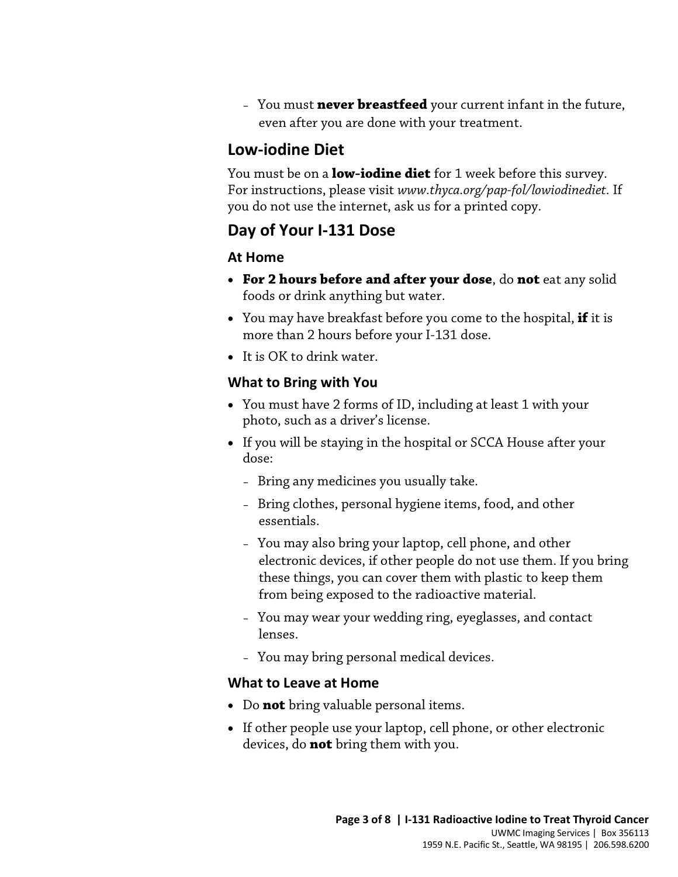– You must **never breastfeed** your current infant in the future, even after you are done with your treatment.

#### **Low-iodine Diet**

You must be on a **low-iodine diet** for 1 week before this survey. For instructions, please visit *www.thyca.org/pap-fol/lowiodinediet.* If you do not use the internet, ask us for a printed copy.

#### **Day of Your I-131 Dose**

#### **At Home**

- **For 2 hours before and after your dose**, do **not** eat any solid foods or drink anything but water.
- You may have breakfast before you come to the hospital, **if** it is more than 2 hours before your I-131 dose.
- It is OK to drink water.

#### **What to Bring with You**

- You must have 2 forms of ID, including at least 1 with your photo, such as a driver's license.
- If you will be staying in the hospital or SCCA House after your dose:
	- Bring any medicines you usually take.
	- Bring clothes, personal hygiene items, food, and other essentials.
	- You may also bring your laptop, cell phone, and other electronic devices, if other people do not use them. If you bring these things, you can cover them with plastic to keep them from being exposed to the radioactive material.
	- You may wear your wedding ring, eyeglasses, and contact lenses.
	- You may bring personal medical devices.

#### **What to Leave at Home**

• Do **not** bring valuable personal items.

 $\_$  , and the set of the set of the set of the set of the set of the set of the set of the set of the set of the set of the set of the set of the set of the set of the set of the set of the set of the set of the set of th

• If other people use your laptop, cell phone, or other electronic devices, do **not** bring them with you.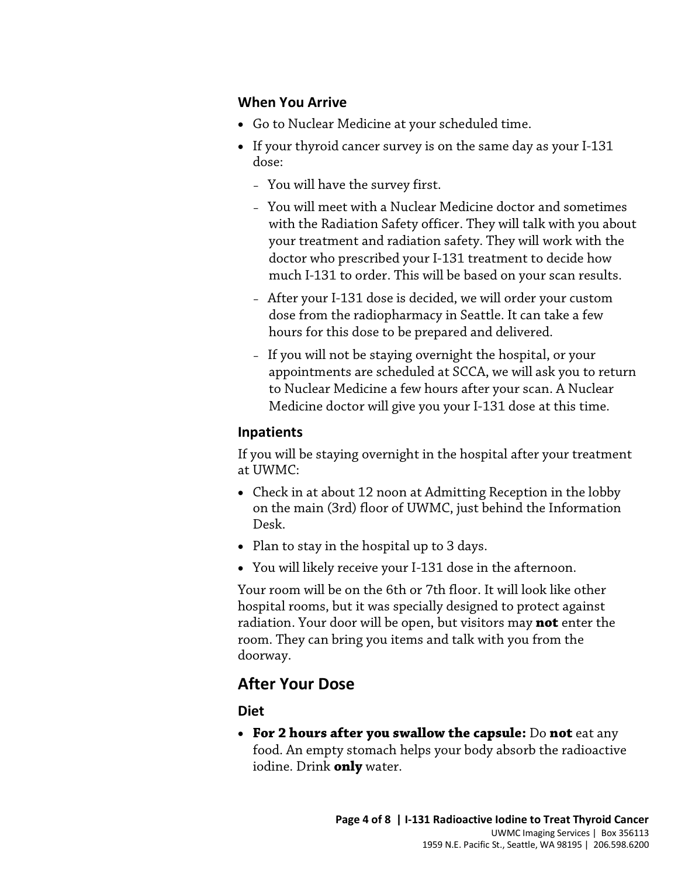#### **When You Arrive**

- Go to Nuclear Medicine at your scheduled time.
- If your thyroid cancer survey is on the same day as your I-131 dose:
	- You will have the survey first.
	- You will meet with a Nuclear Medicine doctor and sometimes with the Radiation Safety officer. They will talk with you about your treatment and radiation safety. They will work with the doctor who prescribed your I-131 treatment to decide how much I-131 to order. This will be based on your scan results.
	- After your I-131 dose is decided, we will order your custom dose from the radiopharmacy in Seattle. It can take a few hours for this dose to be prepared and delivered.
	- If you will not be staying overnight the hospital, or your appointments are scheduled at SCCA, we will ask you to return to Nuclear Medicine a few hours after your scan. A Nuclear Medicine doctor will give you your I-131 dose at this time.

#### **Inpatients**

If you will be staying overnight in the hospital after your treatment at UWMC:

- Check in at about 12 noon at Admitting Reception in the lobby on the main (3rd) floor of UWMC, just behind the Information Desk.
- Plan to stay in the hospital up to 3 days.

 $\_$  , and the set of the set of the set of the set of the set of the set of the set of the set of the set of the set of the set of the set of the set of the set of the set of the set of the set of the set of the set of th

• You will likely receive your I-131 dose in the afternoon.

Your room will be on the 6th or 7th floor. It will look like other hospital rooms, but it was specially designed to protect against radiation. Your door will be open, but visitors may **not** enter the room. They can bring you items and talk with you from the doorway.

# **After Your Dose**

#### **Diet**

• **For 2 hours after you swallow the capsule:** Do **not** eat any food. An empty stomach helps your body absorb the radioactive iodine. Drink **only** water.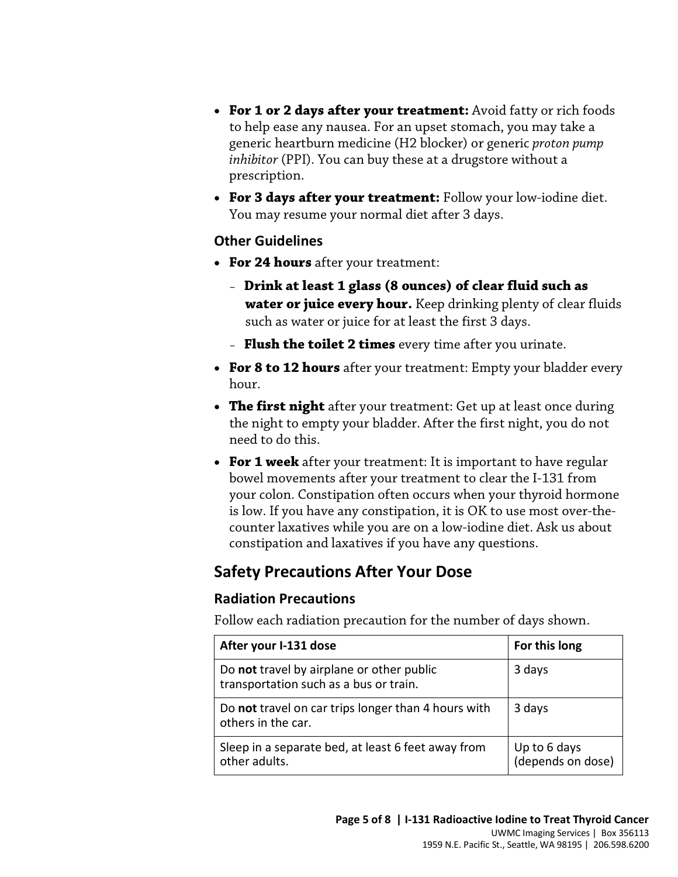- **For 1 or 2 days after your treatment:** Avoid fatty or rich foods to help ease any nausea. For an upset stomach, you may take a generic heartburn medicine (H2 blocker) or generic *proton pump inhibitor* (PPI). You can buy these at a drugstore without a prescription.
- **For 3 days after your treatment:** Follow your low-iodine diet. You may resume your normal diet after 3 days.

#### **Other Guidelines**

- **For 24 hours** after your treatment:
	- **Drink at least 1 glass (8 ounces) of clear fluid such as water or juice every hour.** Keep drinking plenty of clear fluids such as water or juice for at least the first 3 days.
	- **Flush the toilet 2 times** every time after you urinate.
- **For 8 to 12 hours** after your treatment: Empty your bladder every hour.
- **The first night** after your treatment: Get up at least once during the night to empty your bladder. After the first night, you do not need to do this.
- **For 1 week** after your treatment: It is important to have regular bowel movements after your treatment to clear the I-131 from your colon. Constipation often occurs when your thyroid hormone is low. If you have any constipation, it is OK to use most over-thecounter laxatives while you are on a low-iodine diet. Ask us about constipation and laxatives if you have any questions.

# **Safety Precautions After Your Dose**

 $\_$  , and the set of the set of the set of the set of the set of the set of the set of the set of the set of the set of the set of the set of the set of the set of the set of the set of the set of the set of the set of th

#### **Radiation Precautions**

Follow each radiation precaution for the number of days shown.

| After your I-131 dose                                                               | For this long                     |
|-------------------------------------------------------------------------------------|-----------------------------------|
| Do not travel by airplane or other public<br>transportation such as a bus or train. | 3 days                            |
| Do not travel on car trips longer than 4 hours with<br>others in the car.           | 3 days                            |
| Sleep in a separate bed, at least 6 feet away from<br>other adults.                 | Up to 6 days<br>(depends on dose) |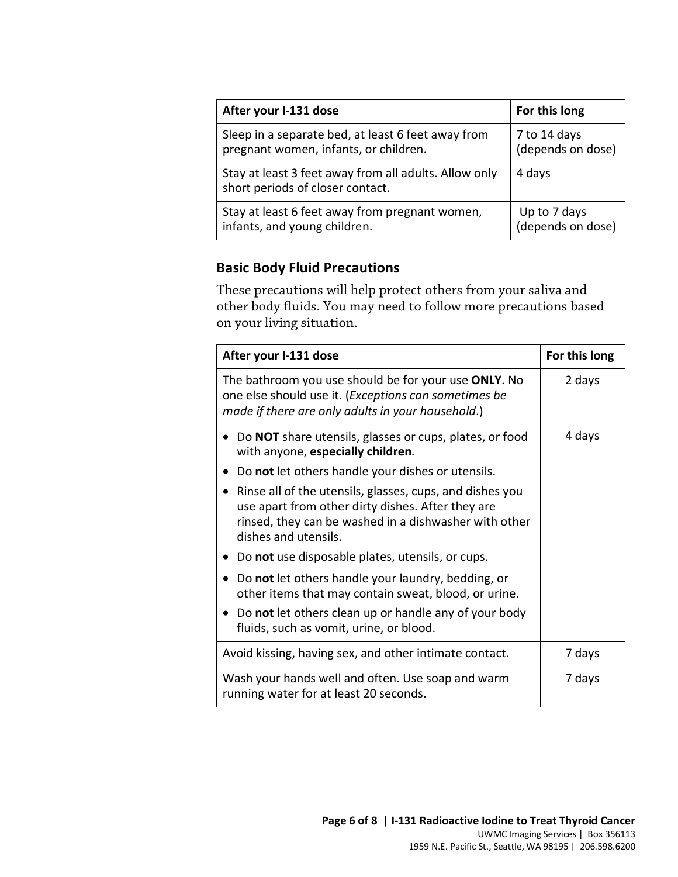| After your I-131 dose                                                                     | For this long     |
|-------------------------------------------------------------------------------------------|-------------------|
| Sleep in a separate bed, at least 6 feet away from                                        | 7 to 14 days      |
| pregnant women, infants, or children.                                                     | (depends on dose) |
| Stay at least 3 feet away from all adults. Allow only<br>short periods of closer contact. | 4 days            |
| Stay at least 6 feet away from pregnant women,                                            | Up to 7 days      |
| infants, and young children.                                                              | (depends on dose) |

#### **Basic Body Fluid Precautions**

These precautions will help protect others from your saliva and other body fluids. You may need to follow more precautions based on your living situation.

| After your I-131 dose                                                                                                                                                                                       | For this long |
|-------------------------------------------------------------------------------------------------------------------------------------------------------------------------------------------------------------|---------------|
| The bathroom you use should be for your use ONLY. No<br>one else should use it. (Exceptions can sometimes be<br>made if there are only adults in your household.)                                           | 2 days        |
| Do NOT share utensils, glasses or cups, plates, or food<br>with anyone, especially children.                                                                                                                | 4 days        |
| Do not let others handle your dishes or utensils.<br>$\bullet$                                                                                                                                              |               |
| Rinse all of the utensils, glasses, cups, and dishes you<br>$\bullet$<br>use apart from other dirty dishes. After they are<br>rinsed, they can be washed in a dishwasher with other<br>dishes and utensils. |               |
| • Do not use disposable plates, utensils, or cups.                                                                                                                                                          |               |
| Do not let others handle your laundry, bedding, or<br>$\bullet$<br>other items that may contain sweat, blood, or urine.                                                                                     |               |
| Do not let others clean up or handle any of your body<br>fluids, such as vomit, urine, or blood.                                                                                                            |               |
| Avoid kissing, having sex, and other intimate contact.                                                                                                                                                      | 7 days        |
| Wash your hands well and often. Use soap and warm<br>running water for at least 20 seconds.                                                                                                                 | 7 days        |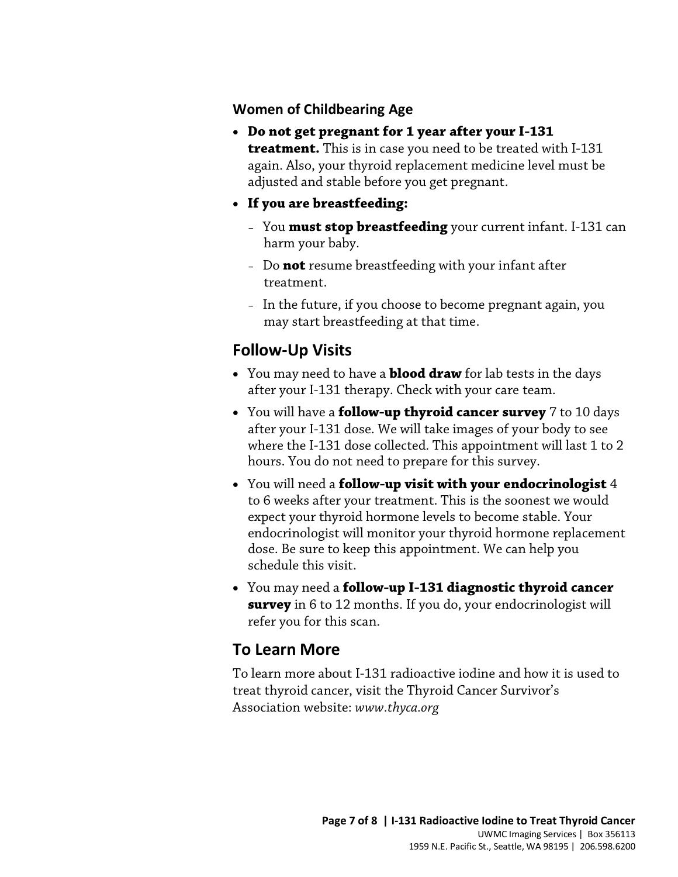#### **Women of Childbearing Age**

- **Do not get pregnant for 1 year after your I-131 treatment.** This is in case you need to be treated with I-131 again. Also, your thyroid replacement medicine level must be adjusted and stable before you get pregnant.
- **If you are breastfeeding:**
	- You **must stop breastfeeding** your current infant. I-131 can harm your baby.
	- Do **not** resume breastfeeding with your infant after treatment.
	- In the future, if you choose to become pregnant again, you may start breastfeeding at that time.

#### **Follow-Up Visits**

- You may need to have a **blood draw** for lab tests in the days after your I-131 therapy. Check with your care team.
- may start breastfeeding at that time.<br> **Follow-Up Visits**<br>
 You may need to have a **blood draw** for lab tests in the days<br>
after your I-131 therapy. Check with your care team.<br>
 You will have a **follow-up thyroid cancer** • You will have a **follow-up thyroid cancer survey** 7 to 10 days after your I-131 dose. We will take images of your body to see where the I-131 dose collected. This appointment will last 1 to 2 hours. You do not need to prepare for this survey.
	- You will need a **follow-up visit with your endocrinologist** 4 to 6 weeks after your treatment. This is the soonest we would expect your thyroid hormone levels to become stable. Your endocrinologist will monitor your thyroid hormone replacement dose. Be sure to keep this appointment. We can help you schedule this visit.
	- You may need a **follow-up I-131 diagnostic thyroid cancer survey** in 6 to 12 months. If you do, your endocrinologist will refer you for this scan.

# **To Learn More**

 $\_$  ,  $\_$  ,  $\_$  ,  $\_$  ,  $\_$  ,  $\_$  ,  $\_$  ,  $\_$  ,  $\_$  ,  $\_$  ,  $\_$  ,  $\_$  ,  $\_$  ,  $\_$  ,  $\_$  ,  $\_$  ,  $\_$  ,  $\_$  ,  $\_$  ,  $\_$  ,  $\_$  ,  $\_$  ,  $\_$  ,  $\_$  ,  $\_$  ,  $\_$  ,  $\_$  ,  $\_$  ,  $\_$  ,  $\_$  ,  $\_$  ,  $\_$  ,  $\_$  ,  $\_$  ,  $\_$  ,  $\_$  ,  $\_$  ,

To learn more about I-131 radioactive iodine and how it is used to treat thyroid cancer, visit the Thyroid Cancer Survivor's Association website: *www.thyca.org*